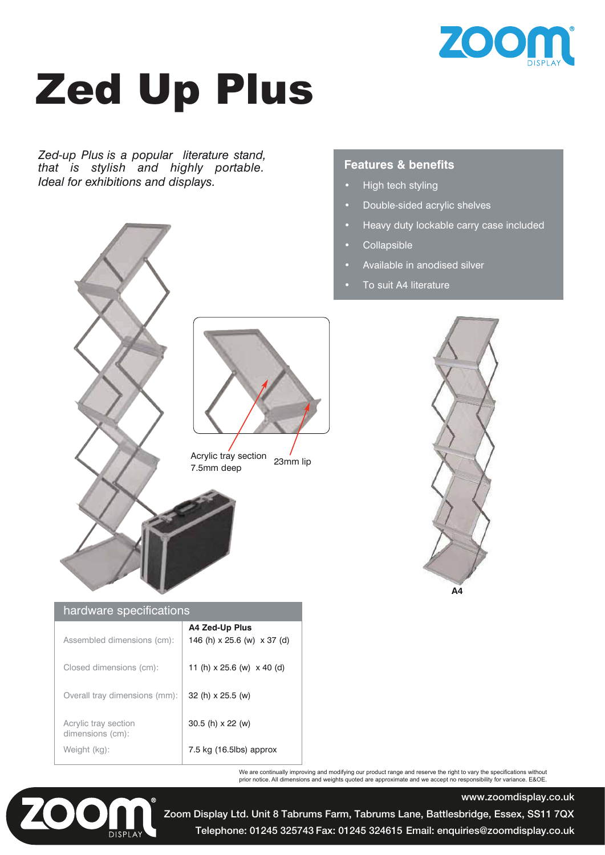

# Zed Up Plus

*Zed-up Plus is a popular literature stand, that is stylish and highly portable. Ideal for exhibitions and displays.*

### **Features & benefits**

- High tech styling
- Double-sided acrylic shelves
- **•** Heavy duty lockable carry case included
- Collapsible
- Available in anodised silver
- **•** To suit A4 literature



Acrylic tray section  $\frac{7}{23}$  amm lip 7.5mm deep



www.zoomdisplay.co.uk

#### hardware specifications

| Assembled dimensions (cm):               | A4 Zed-Up Plus<br>146 (h) x 25.6 (w) x 37 (d) |
|------------------------------------------|-----------------------------------------------|
| Closed dimensions (cm):                  | 11 (h) $\times$ 25.6 (w) $\times$ 40 (d)      |
| Overall tray dimensions (mm):            | 32 (h) x 25.5 (w)                             |
| Acrylic tray section<br>dimensions (cm): | $30.5$ (h) $x 22$ (w)                         |
| Weight (kg):                             | 7.5 kg $(16.5)$ approx                        |

We are continually improving and modifying our product range and reserve the right to vary the specifications without prior notice. All dimensions and weights quoted are approximate and we accept no responsibility for variance. E&OE.



Telephone: 01245 325743 Fax: 01245 324615 Email: enquiries@zoomdisplay.co.uk Zoom Display Ltd. Unit 8 Tabrums Farm, Tabrums Lane, Battlesbridge, Essex, SS11 7QX